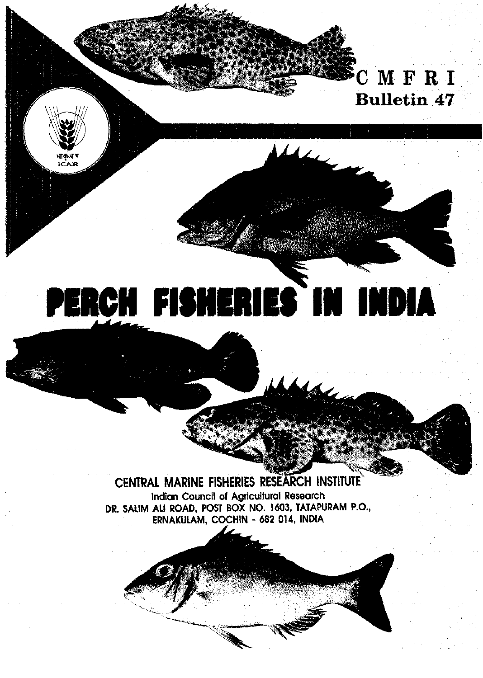## $CM$   $F$   $R$   $I$ **Bulletin 47**

ica r

# PERCH FISHERIES IN INDIA

 $\blacktriangle$ 

## CENTRAL MARINE FISHERIES RESEARCH INSTITUTE

Indian Council of Agricultural Research DR. SALIM ALI ROAD, POST BOX NO. 1603, TATAPURAM P.O., ERNAKULAM, COCHIN - 682 014, INDIA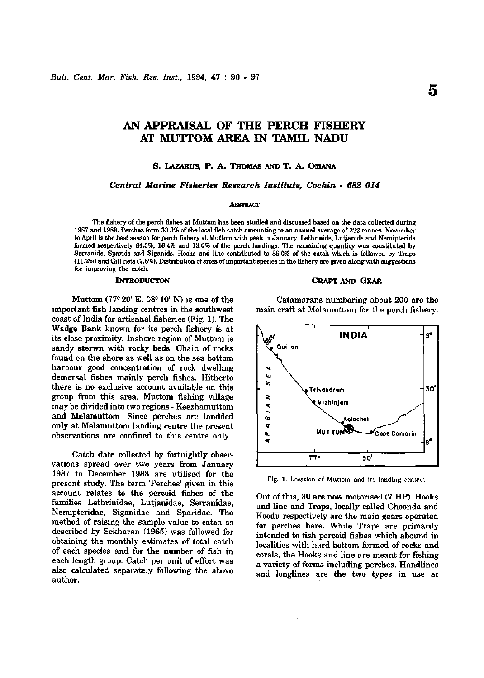### **AN APPRAISAL OF THE PERCH FISHERY AT MUTTOM AREA IN TAMIL NADU**

#### **S. LAZARUS, P. A. THOMAS AND T. A. OMANA**

*Central Marine Fisheries Research Institute, Cochin • 682 014* 

#### **ABSTRACT**

The fishery of the perch fishes at Muttom has been studied and discussed based on the data collected during 1987 and 1988. Perches form 33.3% of the local fish catch amounting to em annual average of 222 tonnes. November to April is the best season for perch fishery at Muttom with peak in January. Lethrinids, Lutjanids and Nemipterids formed respectively 64.5%, 16.4% and 13.0% of the perch landings. The remaining quantity was constituted by Serranids, Sparids and Siganids. Hooks and line contributed to 86.0% of the catch which is followed by Traps (11.2%) and Gill nets (2.8%). Distribution of sizes of important species in the fishery are given along with suggestions for improving the catch.

Muttom (77° 20' E, 08" 10' N) is one of the important fish landing centres in the southwest coast of India for artisanal fisheries (Fig. 1). The Wadge Bank known for its perch fishery is at its close proximity. Inshore region of Muttom is sandy sterwn with rocky beds. Chain of rocks found on the shore as well as on the sea bottom harbour good concentration of rock dwelling demersal fishes mainly perch fishes. Hitherto there is no exclusive account available on this group from this area. Muttom fishing village may be divided into two regions - Keezhamuttom and Melamuttom. Since perches are landded only at Melamuttom landing centre the present observations are confined to this centre only.

Catch date collected by fortnightly observations spread over two years from January 1987 to December 1988 are utilised for the present study. The term 'Perches' given in this account relates to the percoid fishes of the families Lethrinidae, Lutjanidae, Serranidae, Nemipteridae, Siganidae and Sparidae. The method of raising the sample value to catch as described by Sekharan (1965) was followed for obtaining the monthly estimates of total catch of each species and for the number of fish in each length group. Catch per unit of effort was also calculated separately following the above author.

#### **INTRODUCTON CRAFT AND GEAR**

Catamarans numbering about 200 are the main craft at Melamuttom for the perch fishery.



Fig. 1. Location of Muttom and its landing centres.

Out of this, 30 are now motorised (7 HP). Hooks and line and Traps, locally called Choonda and Koodu respectively are the main gears operated for perches here. While Traps are primarily intended to fish percoid fishes which abound in localities with hard bottom formed of rocks and corals, the Hooks and line are meant for fishing a variety of forms including perches. Handlines and longlines are the two types in use at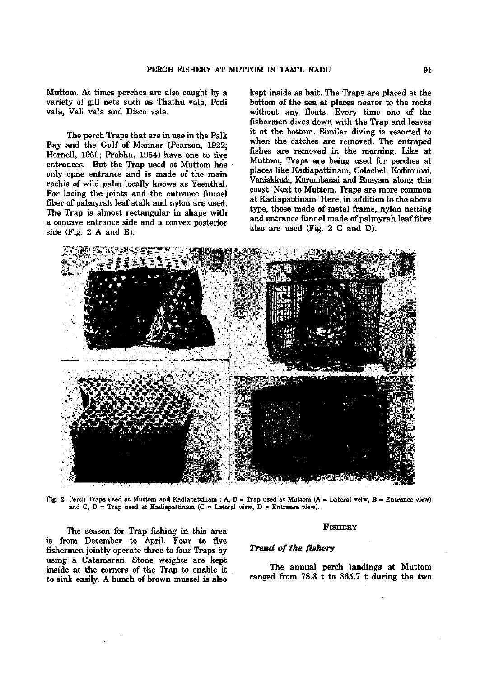Muttom. At times perches are also caught by a variety of gill nets such as Thathu vala, Podi vala, Vali vala and Disco vala.

The perch Traps that are in use in the Palk Bay and the Gulf of Mannar (Pearson, 1922; Hornell, 1950; Prabhu, 1954) have one to five entrances. But the Trap used at Muttom has only opne entrance and is made of the main rachis of wild palm locally knows as Yeenthal. For lacing the joints and the entrance funnel fiber of palmyrah leaf stalk and nylon are used. The Trap is almost rectangular in shape with a concave entrance side and a convex posterior side (Fig. 2 A and B).

kept inside as bait. The Traps are placed at the bottom of the sea at places nearer to the rocks without any floats. Every time one of the fishermen dives down with the Trap and leaves it at the bottom. Similar diving is resorted to when the catches are removed. The entraped fishes are removed in the morning. Like at Muttom, Traps are being used for perches at places like Kadiapattinam, Colachel, Kodimunai, Vaniakkudi, Kurumbanai and Enayam along this coast. Next to Muttom, Traps are more common at Kadiapattinam. Here, in addition to the above type, those made of metal frame, nylon netting and entrance funnel made of palmyrah leaf fibre also are used (Fig. 2 C and D).



Fig. 2. Perch Traps used at Muttom and Kadiapattinam : A, B = Trap used at Muttom (A = Lateral veiw, B Entrance view) and C, D = Trap used at Kadiapattinam (C = Lateral view, D = Entrance view).

The season for Trap fishing in this area is from December to April. Four to five fishermen jointly operate three to four Traps by using a Catamaran. Stone weights are kept inside at the corners of the Trap to enable it to sink easily. A bunch of brown mussel is also

#### **FISHERY**

#### *Trend of the fishery*

The annual perch landings at Muttom ranged from 78.3 t to 365.7 t during the two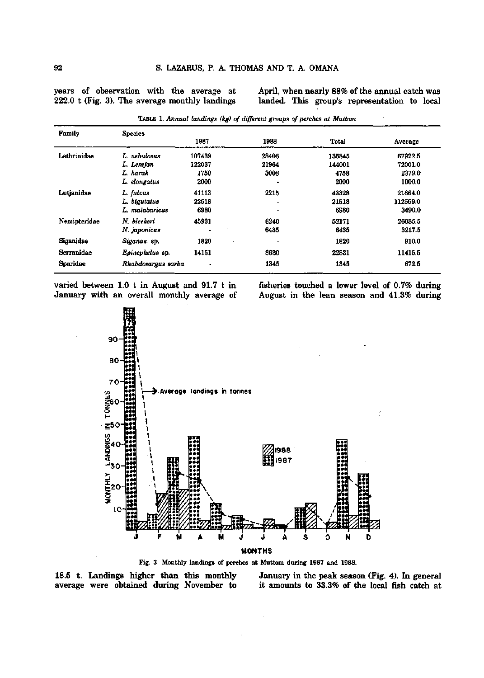years of observation with the average at 222.0 t (Fig. 3). The average monthly landings

April, when nearly 88% of the annual catch was landed. This group's representation to local

| Family       | <b>Species</b>     |                           |       |        |          |
|--------------|--------------------|---------------------------|-------|--------|----------|
|              |                    | 1987                      | 1988  | Total  | Average  |
| Lethrinidae  | L. nebulosus       | 107439                    | 28406 | 135845 | 67922.5  |
|              | L. Lentjan         | 122037                    | 21964 | 144001 | 72001.0  |
|              | L. harak           | 1750                      | 3008  | 4758   | 2379.0   |
|              | L. elongatus       | 2000                      |       | 2000   | 1000.0   |
| Lutjanidae   | L. fulvus          | 41113<br>$\gamma_{\rm s}$ | 2215  | 43328  | 21664.0  |
|              | L. bigutatus       | 22518                     |       | 21518  | 112559.0 |
|              | L. malabaricus     | 6980                      |       | 6980   | 3490.0   |
| Nemipteridae | N. bleekeri        | 45931                     | 6240  | 52171  | 26085.5  |
|              | N. japonicus       |                           | 6435  | 6435   | 3217.5   |
| Siganidae    | Siganus. sp.       | 1820                      | ٠     | 1820   | 910.0    |
| Serranidae   | Epinephelus sp.    | 14151                     | 8680  | 22831  | 11415.5  |
| Sparidae     | Rhabdosargus sarba | $\blacksquare$            | 1345  | 1345   | 672.5    |
|              |                    |                           |       |        |          |

TABLE 1. *Annual landings (kg) of different groups of perches at Muttom* 

varied between 1.0 t in August and 91.7 t in January with an overall monthly average of fisheries touched a lower level of 0.7% during August in the lean season and 41.3% during



Fig. 3. Monthly landings of perches at Muttom during 1987 and 1988.

18.5 t. Landings higher than this monthly average were obtained during November to January in the peak season (Fig. 4). In general it amoimts to 33.3% of the local fish catch at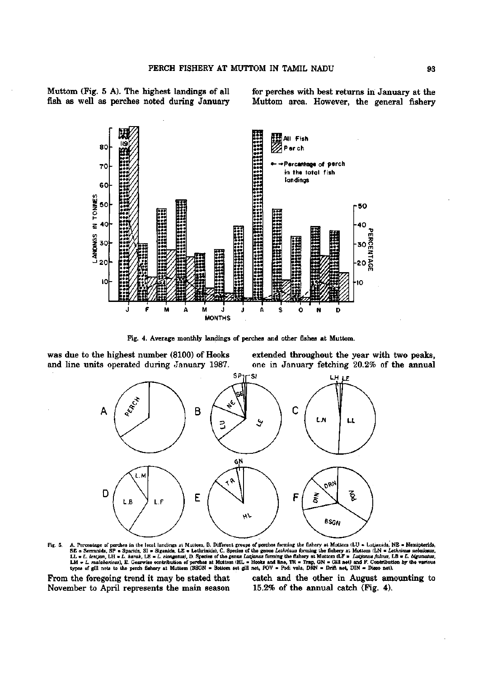Muttom (Fig. 5 A). The highest landings of all fish as well as perches noted during January for perches with best returns in January at the Muttom area. However, the general fishery



Fig. 4. Average monthly landings of perches and other fishes at Muttom.

was due to the highest number (8100) of Hooks and line units operated during January 1987. extended throughout the year with two peaks, one in January fetching 20.2% of the annual



Fig. 5. A. Percentage of perches in the local landings at Muttom, B. Different groups of perches forming the fishery at Muttom (LU = Lutjanids, NE = Nemipterids, SE = Seranids, SF = Spanids, SI = Siganids, LE = Lethrinids

From the foregoing trend it may be stated that November to April represents the main season catch and the other in August amounting to 15.2% of the annual catch (Fig. 4).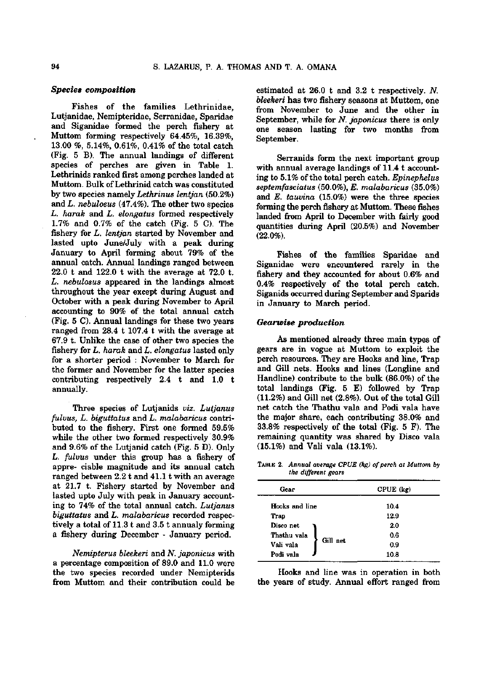#### *Species composition*

Fishes of the families Lethrinidae, Lutjanidae, Nemipteridae, Serranidae, Sparidae and Siganidae formed the perch fishery at Muttom forming respectively 64.45%, 16.39%, 13.00 %, 5.14%, 0.61%, 0.41% of the total catch (Fig. 5 B). The annual landings of different species of perches are given in Table 1. Lethrinids ranked first among perches landed at Muttom. Bulk of Lethrinid catch was constituted by two species namely *Lethrinus lentjan* (50.2%) and *L. nebulosus* (47.4%). The other two species *L. harak* and *L. elongatus* formed respectively 1.7% and 0.7% of the catch (Fig. 5 C). The fishery for L. *lentjan* started by November and lasted upto June/July with a peak during January to April forming about 79% of the annual catch. Annual landings ranged between 22.0 t and 122.0 t with the average at 72.0 t. *L. nebulosus* appeared in the landings almost throughout the year except during August and October with a peak during November to April accounting to 90% of the total annual catch (Fig. 5 C). Annual landings for these two years ranged from 28.4 t 107.4 t with the average at 67.9 t. Unlike the case of other two species the fishery for *L. harak* and L. *elongatus* lasted only for a shorter period : November to March for the former and November for the latter species contributing respectively 2.4 t and 1.0 t annually.

Three species of Lutjanids *viz. Lutjanus fulvus, L. biguttatus* and *L. malabaricus* contributed to the fishery. First one formed 59.5% while the other two formed respectively 30.9% and 9.6% of the Lutjanid catch (Fig. 5 D). Only *L. fulvus* under this group has a fishery of appre- ciable magnitude and its annual catch ranged between  $2.2$  t and  $41.1$  t with an average at 21.7 t. Fishery started by November and lasted upto July with peak in January accounting to 74% of the total annual catch. *Lutjanus biguttatus* and *L. malabaricus* recorded respectively a total of 11.3 t and 3.5 t annualy forming a fishery during December - January period.

*Nemipterus bleekeri* and *N. japonicus* with a percentage composition of 89.0 and 11.0 were the two species recorded under Nemipterids from Muttom and their contribution could be estimated at 26.0 t and 3.2 t respectively. *N. bleekeri* has two fishery seasons at Muttom, one from November to June and the other in September, while for *N. japonicus* there is only one season lasting for two months from September.

Serranids form the next important group with annual average landings of 11.4 t accounting to 5.1% of the total perch catch. *Epinephelus septemfasciatus* (50.0%), *E. malabaricus* (35.0%) and *E. tauvina* (15.0%) were the three species forming the perch fishery at Muttom. These fishes landed from April to December with fairly good quantities during April (20.5%) and November (22.0%).

Fishes of the families Sparidae and Siganidae were encountered rarely in the fishery and they accounted for about 0.6% and 0.4% respectively of the total perch catch. Siganids occurred during September and Sparids in January to March period.

#### *Geanvise production*

As mentioned already three main types of gears are in vogue at Muttom to exploit the perch resources. They are Hooks and line, Trap and Gill nets. Hooks and lines (Longline and Handline) contribute to the bulk (86.0%) of the total landings (Fig. 5 E) followed by Trap (11.2%) and Gill net (2.8%). Out of the total Gill net catch the Thathu vala and Podi vala have the major share, each contributing 38.0% and 33.8% respectively of the total (Fig. 5 F). The remaining quantity was shared by Disco vala (15.1%) and Vali vala (13.1%).

TABLE 2. *Annual average CPUE (kg) of perch at Muttom by the different gears* 

| Gear                  | CPUE (kg) |  |  |  |  |
|-----------------------|-----------|--|--|--|--|
| Hooks and line        | 10.4      |  |  |  |  |
| Trap                  | 12.9      |  |  |  |  |
| Disco net             | 2.0       |  |  |  |  |
| Thathu vala           | 0.6       |  |  |  |  |
| Gill net<br>Vali vala | 0.9       |  |  |  |  |
| Podi vala             | 10.8      |  |  |  |  |
|                       |           |  |  |  |  |

Hooks and line was in operation in both the years of study. Annual effort ranged from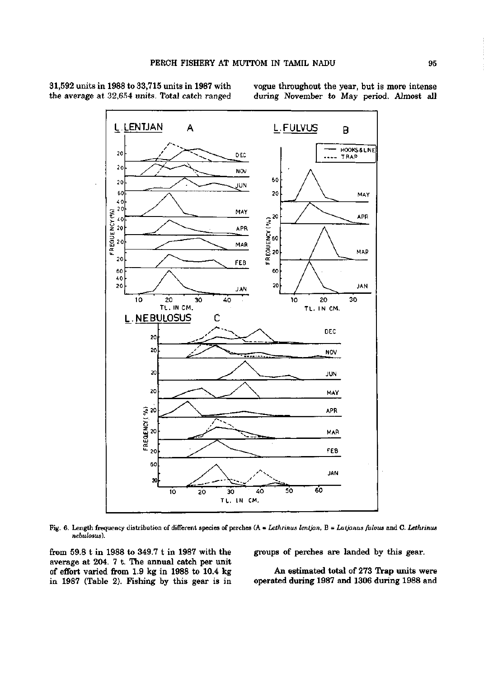

31,592 units in 1988 to 33,715 units in 1987 with the average at 32,654 units. Total catch ranged vogue throughout the year, but is more intense during November to May period. Almost all

Fig. 6. Length frequency distribution of different species of perches (A = *Lethrinus lentjan,* B = *Lutjanus fulvus* and C. *Lethrinus nebulosus).* 

from 59.8 t in 1988 to 349.7 t in 1987 with the average at 204. 7 t. The annual catch per unit of effort varied from 1.9 kg in 1988 to 10.4 kg in 1987 (Table 2). Fishing by this gear is in

groups of perches are landed by this gear.

An estimated total of 273 Trap units were operated during 1987 and 1306 during 1988 and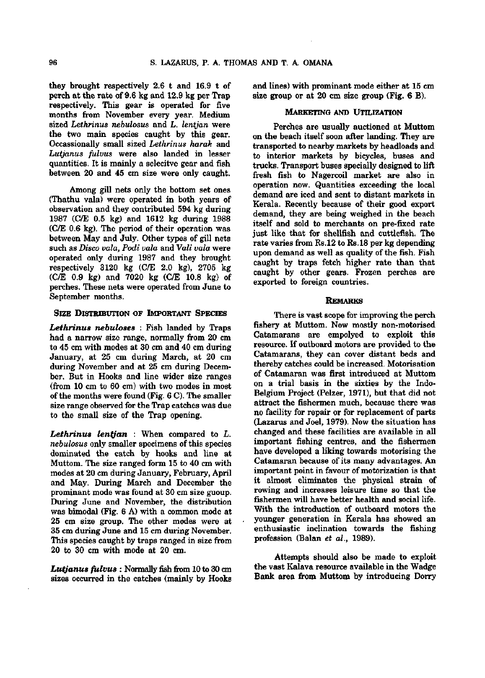they brought respectively 2.6 t and 16.9 t of perch at the rate of 9.6 kg and 12.9 kg per Trap respectively. This gear is operated for five months from November every year. Medium sized *Lethrinus nebulosus* and *L. lentjan* were the two main species caught by this gear. Occassionally small sized *Lethrinus harak* and *Lutjanus fulvus* were also landed in lesser quantities. It is mainly a selecitve gear and fish between 20 and 45 cm size were only caught.

Among gill nets only the bottom set ones (Thathu vala) were operated in both years of observation and they contributed 594 kg during 1987 (C/E 0.5 kg) and 1612 kg during 1988 (C/E 0.6 kg). The period of their operation was between May and July. Other types of gill nets such as *Disco vala, Podi vala* and *Vali vala* were operated only during 1987 and they brought respectively 3120 kg (C/E 2.0 kg), 2705 kg (C/E 0.9 kg) and 7020 kg (C/E 10.8 kg) of perches. These nets were operated from June to September months.

#### **SIZE DISTRIBUTION OF IMPORTANT SPECIES**

*Lethrinus nehuloses :* Fish landed by Traps had a narrow size range, normally from 20 cm to 45 cm with modes at 30 cm and 40 cm during January, at 25 cm during March, at 20 cm during November and at 25 cm during December. But in Hooks and line wider size ranges  $(from 10 cm to 60 cm) with two modes in most$ of the months were found (Fig. 6 C). The smaller size range observed for the Trap catches was due to the small size of the Trap opening.

*Lethrinus lenljan :* When compared to *L. nebulosus* only smaller specimens of this species dominated the catch by hooks and line at Muttom. The size ranged form 15 to 40 cm with modes at 20 cm during January, February, April and May. During March and December the prominant mode was found at 30 cm size guoup. During June and November, the distribution was bimodal (Fig. 6 A) with a common mode at 25 cm size group. The other modes were at 35 cm during June and 15 cm during November. This species caught by traps ranged in size from 20 to 30 cm with mode at 20 cm.

*Lutjanus fulvus :* Normally fish *icom* 10 to 30 cm sizes occurred in the catches (mainly by Hooks and lines) with prominant mode either at 15 cm size group or at 20 cm size group (Fig. **6 B).** 

#### **MARKETING AND UTILIZATION**

Perches are usually auctioned at Muttom on the beach itself soon after landing. They are transported to nearby markets by headloads and to interior markets by bicycles, buses and trucks. Transport buses specially designed to lift fresh fish to Nagercoil market are also in operation now. Quantities exceeding the local demand are iced and sent to distant markets in Kerala. Recently because of their good export demand, they are being weighed in the beach itself and sold to merchants on pre-fixed rate just like that for shellfish and cuttlefish. The rate varies from Rs.12 to Rs.18 per kg depending upon demand as well as quality of the fish. Fish caught by traps fetch higher rate than that caught by other gears. Frozen perches are exported to foreign countries.

#### **REMARKS**

There is vast scope for improving the perch fishery at Muttom. Now mostly non-motorised Catamarans are empolyed to exploit this resource. If outboard motors are provided to the Catamarans, they can cover distant beds and thereby catches could be increased. Motorisation of Catamaran was first introduced at Muttom on a trial basis in the sixties by the Indo-Belgium Project (Pelzer, 1971), but that did not attract the fishermen much, because there was no facility for repair or for replacement of parts (Lazarus and Joel, 1979). Now the situation has changed and these facilities are available in all important fishing centres, and the fishermen have developed a liking towards motorising the Catamaran because of its many advantages. An important point in favour of motorization is that it almost eliminates the physical strain of rowing and increases leisure time so that the fishermen will have better health and social life. With the introduction of outboard motors the younger generation in Kerala has showed an enthusiastic inclination towards the fishing profession (Balan *et al.,* 1989).

Attempts should also be made to exploit the vast Kalava resource available in the Wadge Bank area from Muttom by introducing Dorry